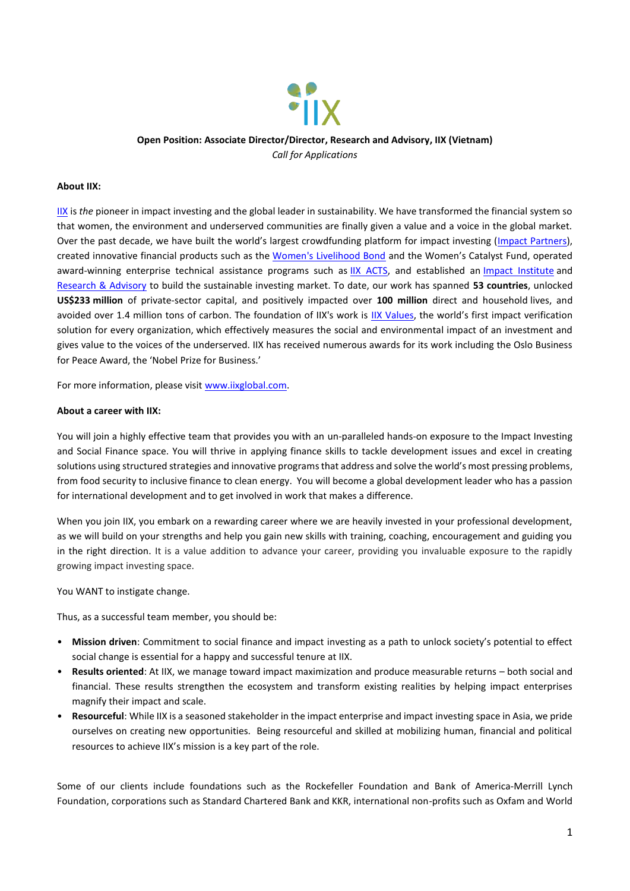

**Open Position: Associate Director/Director, Research and Advisory, IIX (Vietnam)** *Call for Applications*

#### **About IIX:**

[IIX](https://iixglobal.com/) is *the* pioneer in impact investing and the global leader in sustainability. We have transformed the financial system so that women, the environment and underserved communities are finally given a value and a voice in the global market. Over the past decade, we have built the world's largest crowdfunding platform for impact investing ([Impact Partners\)](http://impactpartners.iixglobal.com/), created innovative financial products such as the [Women's Livelihood Bond](https://iixglobal.com/womens-livelihood-bond-series/) and the Women's Catalyst Fund, operated award-winning enterprise technical assistance programs such as [IIX ACTS,](https://iixglobal.com/iix-acts-aims/) and established an *[Impact Institute](https://institute.iixfoundation.org/)* and [Research & Advisory](https://iixglobal.com/research-and-insights/) to build the sustainable investing market. To date, our work has spanned **53 countries**, unlocked **US\$233 million** of private-sector capital, and positively impacted over **100 million** direct and household lives, and avoided over 1.4 million tons of carbon. The foundation of IIX's work is [IIX Values](https://iixvalues.com/), the world's first impact verification solution for every organization, which effectively measures the social and environmental impact of an investment and gives value to the voices of the underserved. IIX has received numerous awards for its work including the Oslo Business for Peace Award, the 'Nobel Prize for Business.'

For more information, please visit [www.iixglobal.com.](file:///C:/Users/ancy/Dropbox/HR/Recruitment/Shujog/www.iixglobal.com) 

#### **About a career with IIX:**

You will join a highly effective team that provides you with an un-paralleled hands-on exposure to the Impact Investing and Social Finance space. You will thrive in applying finance skills to tackle development issues and excel in creating solutions using structured strategies and innovative programs that address and solve the world's most pressing problems, from food security to inclusive finance to clean energy. You will become a global development leader who has a passion for international development and to get involved in work that makes a difference.

When you join IIX, you embark on a rewarding career where we are heavily invested in your professional development, as we will build on your strengths and help you gain new skills with training, coaching, encouragement and guiding you in the right direction. It is a value addition to advance your career, providing you invaluable exposure to the rapidly growing impact investing space.

You WANT to instigate change.

Thus, as a successful team member, you should be:

- **Mission driven**: Commitment to social finance and impact investing as a path to unlock society's potential to effect social change is essential for a happy and successful tenure at IIX.
- **Results oriented**: At IIX, we manage toward impact maximization and produce measurable returns both social and financial. These results strengthen the ecosystem and transform existing realities by helping impact enterprises magnify their impact and scale.
- **Resourceful**: While IIX is a seasoned stakeholder in the impact enterprise and impact investing space in Asia, we pride ourselves on creating new opportunities. Being resourceful and skilled at mobilizing human, financial and political resources to achieve IIX's mission is a key part of the role.

Some of our clients include foundations such as the Rockefeller Foundation and Bank of America-Merrill Lynch Foundation, corporations such as Standard Chartered Bank and KKR, international non-profits such as Oxfam and World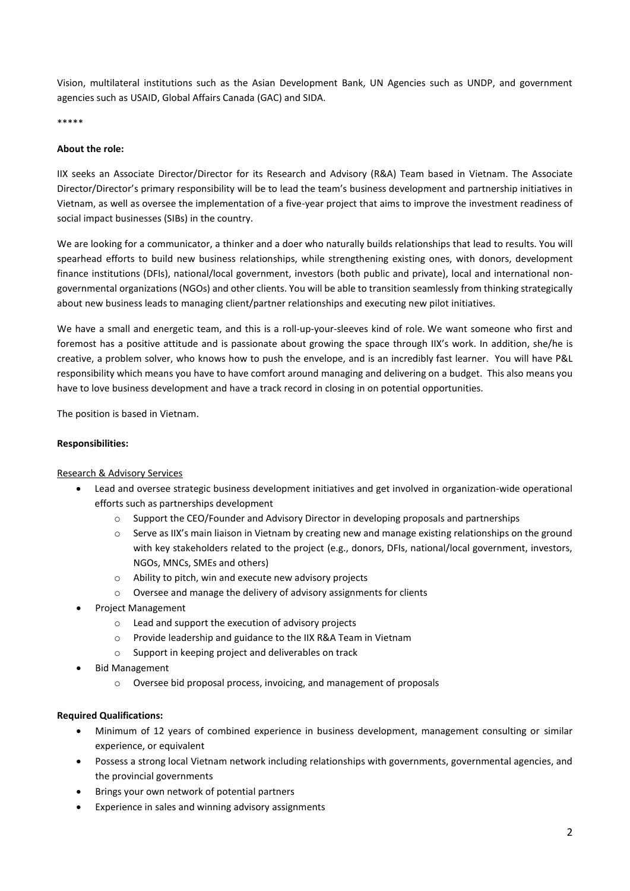Vision, multilateral institutions such as the Asian Development Bank, UN Agencies such as UNDP, and government agencies such as USAID, Global Affairs Canada (GAC) and SIDA.

\*\*\*\*\*

## **About the role:**

IIX seeks an Associate Director/Director for its Research and Advisory (R&A) Team based in Vietnam. The Associate Director/Director's primary responsibility will be to lead the team's business development and partnership initiatives in Vietnam, as well as oversee the implementation of a five-year project that aims to improve the investment readiness of social impact businesses (SIBs) in the country.

We are looking for a communicator, a thinker and a doer who naturally builds relationships that lead to results. You will spearhead efforts to build new business relationships, while strengthening existing ones, with donors, development finance institutions (DFIs), national/local government, investors (both public and private), local and international nongovernmental organizations (NGOs) and other clients. You will be able to transition seamlessly from thinking strategically about new business leads to managing client/partner relationships and executing new pilot initiatives.

We have a small and energetic team, and this is a roll-up-your-sleeves kind of role. We want someone who first and foremost has a positive attitude and is passionate about growing the space through IIX's work. In addition, she/he is creative, a problem solver, who knows how to push the envelope, and is an incredibly fast learner. You will have P&L responsibility which means you have to have comfort around managing and delivering on a budget. This also means you have to love business development and have a track record in closing in on potential opportunities.

The position is based in Vietnam.

## **Responsibilities:**

### Research & Advisory Services

- Lead and oversee strategic business development initiatives and get involved in organization-wide operational efforts such as partnerships development
	- o Support the CEO/Founder and Advisory Director in developing proposals and partnerships
	- $\circ$  Serve as IIX's main liaison in Vietnam by creating new and manage existing relationships on the ground with key stakeholders related to the project (e.g., donors, DFIs, national/local government, investors, NGOs, MNCs, SMEs and others)
	- o Ability to pitch, win and execute new advisory projects
	- o Oversee and manage the delivery of advisory assignments for clients
- Project Management
	- o Lead and support the execution of advisory projects
	- o Provide leadership and guidance to the IIX R&A Team in Vietnam
	- o Support in keeping project and deliverables on track
- Bid Management
	- o Oversee bid proposal process, invoicing, and management of proposals

### **Required Qualifications:**

- Minimum of 12 years of combined experience in business development, management consulting or similar experience, or equivalent
- Possess a strong local Vietnam network including relationships with governments, governmental agencies, and the provincial governments
- Brings your own network of potential partners
- Experience in sales and winning advisory assignments